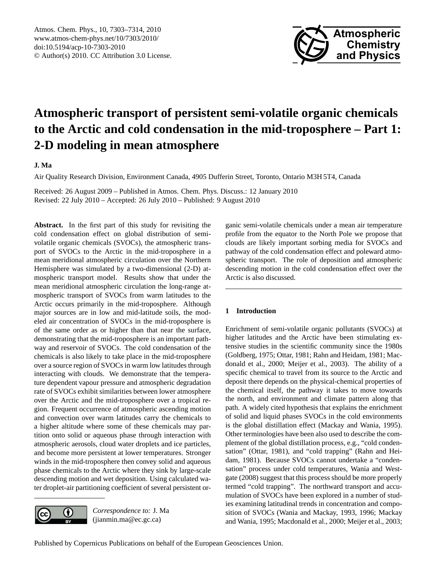

# <span id="page-0-0"></span>**Atmospheric transport of persistent semi-volatile organic chemicals to the Arctic and cold condensation in the mid-troposphere – Part 1: 2-D modeling in mean atmosphere**

## **J. Ma**

Air Quality Research Division, Environment Canada, 4905 Dufferin Street, Toronto, Ontario M3H 5T4, Canada

Received: 26 August 2009 – Published in Atmos. Chem. Phys. Discuss.: 12 January 2010 Revised: 22 July 2010 – Accepted: 26 July 2010 – Published: 9 August 2010

**Abstract.** In the first part of this study for revisiting the cold condensation effect on global distribution of semivolatile organic chemicals (SVOCs), the atmospheric transport of SVOCs to the Arctic in the mid-troposphere in a mean meridional atmospheric circulation over the Northern Hemisphere was simulated by a two-dimensional (2-D) atmospheric transport model. Results show that under the mean meridional atmospheric circulation the long-range atmospheric transport of SVOCs from warm latitudes to the Arctic occurs primarily in the mid-troposphere. Although major sources are in low and mid-latitude soils, the modeled air concentration of SVOCs in the mid-troposphere is of the same order as or higher than that near the surface, demonstrating that the mid-troposphere is an important pathway and reservoir of SVOCs. The cold condensation of the chemicals is also likely to take place in the mid-troposphere over a source region of SVOCs in warm low latitudes through interacting with clouds. We demonstrate that the temperature dependent vapour pressure and atmospheric degradation rate of SVOCs exhibit similarities between lower atmosphere over the Arctic and the mid-troposphere over a tropical region. Frequent occurrence of atmospheric ascending motion and convection over warm latitudes carry the chemicals to a higher altitude where some of these chemicals may partition onto solid or aqueous phase through interaction with atmospheric aerosols, cloud water droplets and ice particles, and become more persistent at lower temperatures. Stronger winds in the mid-troposphere then convey solid and aqueous phase chemicals to the Arctic where they sink by large-scale descending motion and wet deposition. Using calculated water droplet-air partitioning coefficient of several persistent or-



*Correspondence to:* J. Ma (jianmin.ma@ec.gc.ca)

ganic semi-volatile chemicals under a mean air temperature profile from the equator to the North Pole we propose that clouds are likely important sorbing media for SVOCs and pathway of the cold condensation effect and poleward atmospheric transport. The role of deposition and atmospheric descending motion in the cold condensation effect over the Arctic is also discussed.

## **1 Introduction**

Enrichment of semi-volatile organic pollutants (SVOCs) at higher latitudes and the Arctic have been stimulating extensive studies in the scientific community since the 1980s (Goldberg, 1975; Ottar, 1981; Rahn and Heidam, 1981; Macdonald et al., 2000; Meijer et al., 2003). The ability of a specific chemical to travel from its source to the Arctic and deposit there depends on the physical-chemical properties of the chemical itself, the pathway it takes to move towards the north, and environment and climate pattern along that path. A widely cited hypothesis that explains the enrichment of solid and liquid phases SVOCs in the cold environments is the global distillation effect (Mackay and Wania, 1995). Other terminologies have been also used to describe the complement of the global distillation process, e.g., "cold condensation" (Ottar, 1981), and "cold trapping" (Rahn and Heidam, 1981). Because SVOCs cannot undertake a "condensation" process under cold temperatures, Wania and Westgate (2008) suggest that this process should be more properly termed "cold trapping". The northward transport and accumulation of SVOCs have been explored in a number of studies examining latitudinal trends in concentration and composition of SVOCs (Wania and Mackay, 1993, 1996; Mackay and Wania, 1995; Macdonald et al., 2000; Meijer et al., 2003;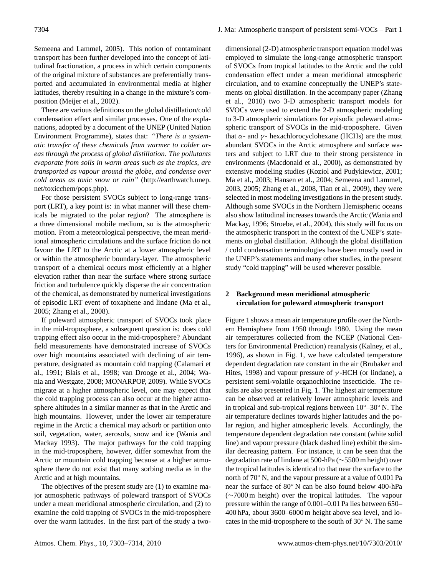Semeena and Lammel, 2005). This notion of contaminant transport has been further developed into the concept of latitudinal fractionation, a process in which certain components of the original mixture of substances are preferentially transported and accumulated in environmental media at higher latitudes, thereby resulting in a change in the mixture's composition (Meijer et al., 2002).

There are various definitions on the global distillation/cold condensation effect and similar processes. One of the explanations, adopted by a document of the UNEP (United Nation Environment Programme), states that: "*There is a systematic transfer of these chemicals from warmer to colder areas through the process of global distillation. The pollutants evaporate from soils in warm areas such as the tropics, are transported as vapour around the globe, and condense over cold areas as toxic snow or rain"* [\(http://earthwatch.unep.](http://earthwatch.unep.net/toxicchem/pops.php) [net/toxicchem/pops.php\)](http://earthwatch.unep.net/toxicchem/pops.php).

For those persistent SVOCs subject to long-range transport (LRT), a key point is: in what manner will these chemicals be migrated to the polar region? The atmosphere is a three dimensional mobile medium, so is the atmospheric motion. From a meteorological perspective, the mean meridional atmospheric circulations and the surface friction do not favour the LRT to the Arctic at a lower atmospheric level or within the atmospheric boundary-layer. The atmospheric transport of a chemical occurs most efficiently at a higher elevation rather than near the surface where strong surface friction and turbulence quickly disperse the air concentration of the chemical, as demonstrated by numerical investigations of episodic LRT event of toxaphene and lindane (Ma et al., 2005; Zhang et al., 2008).

If poleward atmospheric transport of SVOCs took place in the mid-troposphere, a subsequent question is: does cold trapping effect also occur in the mid-troposphere? Abundant field measurements have demonstrated increase of SVOCs over high mountains associated with declining of air temperature, designated as mountain cold trapping (Calamari et al., 1991; Blais et al., 1998; van Drooge et al., 2004; Wania and Westgate, 2008; MONARPOP, 2009). While SVOCs migrate at a higher atmospheric level, one may expect that the cold trapping process can also occur at the higher atmosphere altitudes in a similar manner as that in the Arctic and high mountains. However, under the lower air temperature regime in the Arctic a chemical may adsorb or partition onto soil, vegetation, water, aerosols, snow and ice (Wania and Mackay 1993). The major pathways for the cold trapping in the mid-troposphere, however, differ somewhat from the Arctic or mountain cold trapping because at a higher atmosphere there do not exist that many sorbing media as in the Arctic and at high mountains.

The objectives of the present study are (1) to examine major atmospheric pathways of poleward transport of SVOCs under a mean meridional atmospheric circulation, and (2) to examine the cold trapping of SVOCs in the mid-troposphere over the warm latitudes. In the first part of the study a two-

dimensional (2-D) atmospheric transport equation model was employed to simulate the long-range atmospheric transport of SVOCs from tropical latitudes to the Arctic and the cold condensation effect under a mean meridional atmospheric circulation, and to examine conceptually the UNEP's statements on global distillation. In the accompany paper (Zhang et al., 2010) two 3-D atmospheric transport models for SVOCs were used to extend the 2-D atmospheric modeling to 3-D atmospheric simulations for episodic poleward atmospheric transport of SVOCs in the mid-troposphere. Given that  $α$ - and  $γ$ - hexachlorocyclohexane (HCHs) are the most abundant SVOCs in the Arctic atmosphere and surface waters and subject to LRT due to their strong persistence in environments (Macdonald et al., 2000), as demonstrated by extensive modeling studies (Koziol and Pudykiewicz, 2001; Ma et al., 2003; Hansen et al., 2004; Semeena and Lammel, 2003, 2005; Zhang et al., 2008, Tian et al., 2009), they were selected in most modeling investigations in the present study. Although some SVOCs in the Northern Hemispheric oceans also show latitudinal increases towards the Arctic (Wania and Mackay, 1996; Stroebe, et al., 2004), this study will focus on the atmospheric transport in the context of the UNEP's statements on global distillation. Although the global distillation / cold condensation terminologies have been mostly used in the UNEP's statements and many other studies, in the present study "cold trapping" will be used wherever possible.

## **2 Background mean meridional atmospheric circulation for poleward atmospheric transport**

Figure 1 shows a mean air temperature profile over the Northern Hemisphere from 1950 through 1980. Using the mean air temperatures collected from the NCEP (National Centers for Environmental Prediction) reanalysis (Kalney, et al., 1996), as shown in Fig. 1, we have calculated temperature dependent degradation rate constant in the air (Brubaker and Hites, 1998) and vapour pressure of  $\gamma$ -HCH (or lindane), a persistent semi-volatile organochlorine insecticide. The results are also presented in Fig. 1. The highest air temperature can be observed at relatively lower atmospheric levels and in tropical and sub-tropical regions between 10◦–30◦ N. The air temperature declines towards higher latitudes and the polar region, and higher atmospheric levels. Accordingly, the temperature dependent degradation rate constant (white solid line) and vapour pressure (black dashed line) exhibit the similar decreasing pattern. For instance, it can be seen that the degradation rate of lindane at 500-hPa (∼5500 m height) over the tropical latitudes is identical to that near the surface to the north of 70◦ N, and the vapour pressure at a value of 0.001 Pa near the surface of 80◦ N can be also found below 400-hPa (∼7000 m height) over the tropical latitudes. The vapour pressure within the range of 0.001–0.01 Pa lies between 650– 400 hPa, about 3600–6000 m height above sea level, and locates in the mid-troposphere to the south of 30◦ N. The same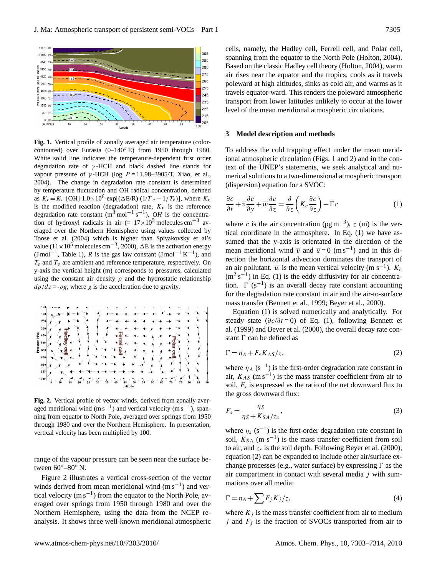

eraged over the Northern Hemisphere using values collected by **Fig. 1.** Vertical profile of zonally averaged air temperature (colorcontoured) over Eurasia (0–140◦ E) from 1950 through 1980. White solid line indicates the temperature-dependent first order degradation rate of  $\gamma$ -HCH and black dashed line stands for vapour pressure of  $\gamma$ -HCH (log  $P = 11.98 - 3905/T$ , Xiao, et al., 2004). The change in degradation rate constant is determined by temperature fluctuation and OH radical concentration, defined as  $K_e = K_v \cdot [OH] \cdot 1.0 \times 10^6 \cdot \exp[(\Delta E/R) \cdot (1/T_v - 1/T_e)]$ , where  $K_e$ is the modified reaction (degradation) rate,  $K_v$  is the reference degradation rate constant  $(m^3 \text{ mol}^{-1} \text{ s}^{-1})$ , *OH* is the concentration of hydroxyl radicals in air (=  $17 \times 10^5$  molecules cm<sup>-3</sup> av-Toose et al. (2004) which is higher than Spivakovsky et al's value (11×10<sup>5</sup> molecules cm<sup>-3</sup>, 2000), ∆E is the activation energy  $(J \text{ mol}^{-1}$ , Table 1), R is the gas law constant  $(J \text{ mol}^{-1} K^{-1})$ , and  $T_e$  and  $T_v$  are ambient and reference temperature, respectively. On y-axis the vertical height (m) corresponds to pressures, calculated using the constant air density  $\rho$  and the hydrostatic relationship  $dp/dz = -\rho g$ , where g is the acceleration due to gravity.



**Fig. 2.** Vertical profile of vector winds, derived from zonally averaged meridional wind  $(m s^{-1})$  and vertical velocity  $(m s^{-1})$ , spanning from equator to North Pole, averaged over springs from 1950 through 1980 and over the Northern Hemisphere. In presentation, vertical velocity has been multiplied by 100.

range of the vapour pressure can be seen near the surface between  $60^{\circ} - 80^{\circ}$  N.

Figure 2 illustrates a vertical cross-section of the vector winds derived from mean meridional wind  $(m s^{-1})$  and vertical velocity  $(m s^{-1})$  from the equator to the North Pole, averaged over springs from 1950 through 1980 and over the Northern Hemisphere, using the data from the NCEP reanalysis. It shows three well-known meridional atmospheric cells, namely, the Hadley cell, Ferrell cell, and Polar cell, spanning from the equator to the North Pole (Holton, 2004). Based on the classic Hadley cell theory (Holton, 2004), warm air rises near the equator and the tropics, cools as it travels poleward at high altitudes, sinks as cold air, and warms as it travels equator-ward. This renders the poleward atmospheric transport from lower latitudes unlikely to occur at the lower level of the mean meridional atmospheric circulations.

#### **3 Model description and methods**

To address the cold trapping effect under the mean meridional atmospheric circulation (Figs. 1 and 2) and in the context of the UNEP's statements, we seek analytical and numerical solutions to a two-dimensional atmospheric transport (dispersion) equation for a SVOC:

$$
\frac{\partial c}{\partial t} + \overline{v} \frac{\partial c}{\partial y} + \overline{w} \frac{\partial c}{\partial z} = \frac{\partial}{\partial z} \left( K_c \frac{\partial c}{\partial z} \right) - \Gamma c \tag{1}
$$

where c is the air concentration (pg m<sup>-3</sup>), z (m) is the vertical coordinate in the atmosphere. In Eq. (1) we have assumed that the y-axis is orientated in the direction of the mean meridional wind  $\overline{v}$  and  $\overline{u} = 0$  (m s<sup>-1</sup>) and in this direction the horizontal advection dominates the transport of an air pollutant.  $\overline{w}$  is the mean vertical velocity (m s<sup>-1</sup>).  $K_c$  $(m<sup>2</sup> s<sup>-1</sup>)$  in Eq. (1) is the eddy diffusivity for air concentration.  $\Gamma$  (s<sup>-1</sup>) is an overall decay rate constant accounting for the degradation rate constant in air and the air-to-surface mass transfer (Bennett et al., 1999; Beyer et al., 2000).

Equation (1) is solved numerically and analytically. For steady state ( $\partial c/\partial t = 0$ ) of Eq. (1), following Bennett et al. (1999) and Beyer et al. (2000), the overall decay rate constant  $\Gamma$  can be defined as

$$
\Gamma = \eta_A + F_s K_{AS}/z,\tag{2}
$$

where  $\eta_A$  (s<sup>-1</sup>) is the first-order degradation rate constant in air,  $K_{AS}$  (m s<sup>-1</sup>) is the mass transfer coefficient from air to soil,  $F_s$  is expressed as the ratio of the net downward flux to the gross downward flux:

$$
F_s = \frac{\eta_S}{\eta_S + K_{SA}/z_s},\tag{3}
$$

where  $\eta_s$  (s<sup>-1</sup>) is the first-order degradation rate constant in soil,  $K_{SA}$  (m s<sup>-1</sup>) is the mass transfer coefficient from soil to air, and  $z_s$  is the soil depth. Following Beyer et al. (2000), equation (2) can be expanded to include other air/surface exchange processes (e.g., water surface) by expressing  $\Gamma$  as the air compartment in contact with several media  $j$  with summations over all media:

$$
\Gamma = \eta_A + \sum F_j K_j / z,\tag{4}
$$

where  $K_j$  is the mass transfer coefficient from air to medium j and  $F_i$  is the fraction of SVOCs transported from air to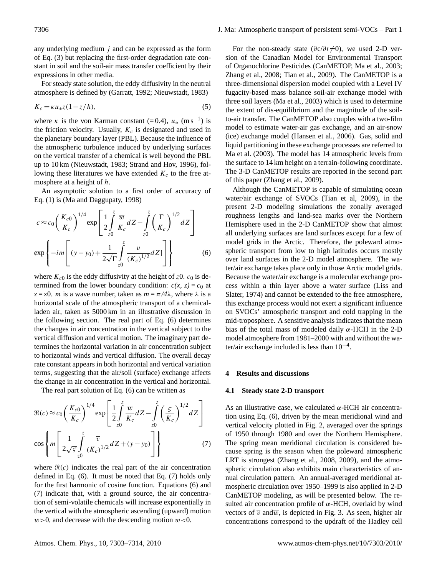any underlying medium  $j$  and can be expressed as the form of Eq. (3) but replacing the first-order degradation rate constant in soil and the soil-air mass transfer coefficient by their expressions in other media.

For steady state solution, the eddy diffusivity in the neutral atmosphere is defined by (Garratt, 1992; Nieuwstadt, 1983)

$$
K_c = \kappa u_* z (1 - z/h),\tag{5}
$$

where  $\kappa$  is the von Karman constant (=0.4),  $u_*$  (m s<sup>-1</sup>) is the friction velocity. Usually,  $K_c$  is designated and used in the planetary boundary layer (PBL). Because the influence of the atmospheric turbulence induced by underlying surfaces on the vertical transfer of a chemical is well beyond the PBL up to 10 km (Nieuwstadt, 1983; Strand and Hov, 1996), following these literatures we have extended  $K_c$  to the free atmosphere at a height of h.

An asymptotic solution to a first order of accuracy of Eq. (1) is (Ma and Daggupaty, 1998)

$$
c \approx c_0 \left(\frac{K_{c0}}{K_c}\right)^{1/4} \exp\left[\frac{1}{2} \int_{z_0}^{z} \frac{\overline{w}}{K_c} dZ - \int_{z_0}^{z} \left(\frac{\Gamma}{K_c}\right)^{1/2} dZ\right]
$$

$$
\exp\left\{-im\left[(y-y_0) + \frac{1}{2\sqrt{\Gamma}} \int_{z_0}^{z} \frac{\overline{v}}{(K_c)^{1/2}} dZ\right]\right\} \tag{6}
$$

where  $K_{c0}$  is the eddy diffusivity at the height of z0.  $c_0$  is determined from the lower boundary condition:  $c(x, z) = c_0$  at z = z0. *m* is a wave number, taken as  $m = \pi/4\lambda$ , where  $\lambda$  is a horizontal scale of the atmospheric transport of a chemicalladen air, taken as 5000 km in an illustrative discussion in the following section. The real part of Eq. (6) determines the changes in air concentration in the vertical subject to the vertical diffusion and vertical motion. The imaginary part determines the horizontal variation in air concentration subject to horizontal winds and vertical diffusion. The overall decay rate constant appears in both horizontal and vertical variation terms, suggesting that the air/soil (surface) exchange affects the change in air concentration in the vertical and horizontal.

The real part solution of Eq. (6) can be written as

$$
\Re(c) \approx c_0 \left(\frac{K_{c0}}{K_c}\right)^{1/4} \exp\left[\frac{1}{2} \int_{z_0}^{z} \frac{\overline{w}}{K_c} dZ - \int_{z_0}^{z} \left(\frac{S}{K_c}\right)^{1/2} dZ\right]
$$

$$
\cos\left\{m\left[\frac{1}{2\sqrt{5}} \int_{z_0}^{z} \frac{\overline{v}}{(K_c)^{1/2}} dZ + (y - y_0)\right]\right\}
$$
(7)

where  $\Re(c)$  indicates the real part of the air concentration defined in Eq. (6). It must be noted that Eq. (7) holds only for the first harmonic of cosine function. Equations (6) and (7) indicate that, with a ground source, the air concentration of semi-volatile chemicals will increase exponentially in the vertical with the atmospheric ascending (upward) motion  $\overline{w}$  >0, and decrease with the descending motion  $\overline{w}$  <0.

For the non-steady state ( $\partial c/\partial t \neq 0$ ), we used 2-D version of the Canadian Model for Environmental Transport of Organochlorine Pesticides (CanMETOP, Ma et al., 2003; Zhang et al., 2008; Tian et al., 2009). The CanMETOP is a three-dimensional dispersion model coupled with a Level IV fugacity-based mass balance soil-air exchange model with three soil layers (Ma et al., 2003) which is used to determine the extent of dis-equilibrium and the magnitude of the soilto-air transfer. The CanMETOP also couples with a two-film model to estimate water-air gas exchange, and an air-snow (ice) exchange model (Hansen et al., 2006). Gas, solid and liquid partitioning in these exchange processes are referred to Ma et al. (2003). The model has 14 atmospheric levels from the surface to 14 km height on a terrain-following coordinate. The 3-D CanMETOP results are reported in the second part of this paper (Zhang et al., 2009).

Although the CanMETOP is capable of simulating ocean water/air exchange of SVOCs (Tian et al, 2009), in the present 2-D modeling simulations the zonally averaged roughness lengths and land-sea marks over the Northern Hemisphere used in the 2-D CanMETOP show that almost all underlying surfaces are land surfaces except for a few of model grids in the Arctic. Therefore, the poleward atmospheric transport from low to high latitudes occurs mostly over land surfaces in the 2-D model atmosphere. The water/air exchange takes place only in those Arctic model grids. Because the water/air exchange is a molecular exchange process within a thin layer above a water surface (Liss and Slater, 1974) and cannot be extended to the free atmosphere, this exchange process would not exert a significant influence on SVOCs' atmospheric transport and cold trapping in the mid-troposphere. A sensitive analysis indicates that the mean bias of the total mass of modeled daily  $\alpha$ -HCH in the 2-D model atmosphere from 1981–2000 with and without the water/air exchange included is less than 10−<sup>4</sup> .

#### **4 Results and discussions**

### **4.1 Steady state 2-D transport**

As an illustrative case, we calculated  $\alpha$ -HCH air concentration using Eq. (6), driven by the mean meridional wind and vertical velocity plotted in Fig. 2, averaged over the springs of 1950 through 1980 and over the Northern Hemisphere. The spring mean meridional circulation is considered because spring is the season when the poleward atmospheric LRT is strongest (Zhang et al., 2008, 2009), and the atmospheric circulation also exhibits main characteristics of annual circulation pattern. An annual-averaged meridional atmospheric circulation over 1950–1999 is also applied in 2-D CanMETOP modeling, as will be presented below. The resulted air concentration profile of  $\alpha$ -HCH, overlaid by wind vectors of  $\overline{v}$  and  $\overline{w}$ , is depicted in Fig. 3. As seen, higher air concentrations correspond to the updraft of the Hadley cell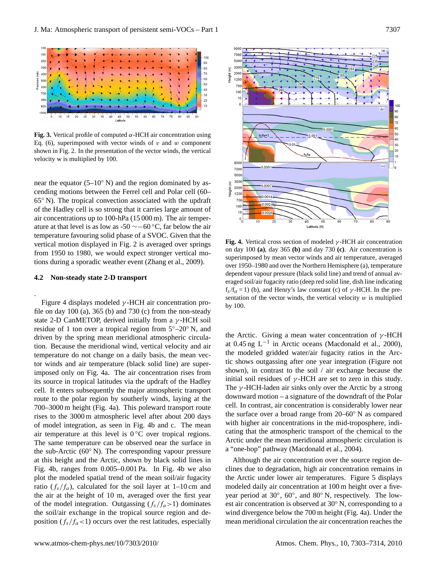

**Fig. 3.** Vertical profile of computed  $\alpha$ -HCH air concentration using Eq. (6), superimposed with vector winds of  $v$  and  $w$  component shown in Fig. 2. In the presentation of the vector winds, the vertical velocity w is multiplied by 100.

near the equator  $(5-10° \text{ N})$  and the region dominated by ascending motions between the Ferrel cell and Polar cell (60– 65◦ N). The tropical convection associated with the updraft of the Hadley cell is so strong that it carries large amount of air concentrations up to 100-hPa (15 000 m). The air temperature at that level is as low as -50  $\sim$  -60 °C, far below the air temperature favouring solid phase of a SVOC. Given that the vertical motion displayed in Fig. 2 is averaged over springs from 1950 to 1980, we would expect stronger vertical motions during a sporadic weather event (Zhang et al., 2009).

#### **4.2 Non-steady state 2-D transport**

.

file on day 100 (a), 365 (b) and 730 (c) from the non-steady Figure 4 displays modeled  $\gamma$ -HCH air concentration prostate 2-D CanMETOP, derived initially from a  $\gamma$ -HCH soil residue of 1 ton over a tropical region from  $5^{\circ}$ –20 $^{\circ}$  N, and driven by the spring mean meridional atmospheric circulation. Because the meridional wind, vertical velocity and air temperature do not change on a daily basis, the mean vector winds and air temperature (black solid line) are superimposed only on Fig. 4a. The air concentration rises from its source in tropical latitudes via the updraft of the Hadley cell. It enters subsequently the major atmospheric transport route to the polar region by southerly winds, laying at the 700–3000 m height (Fig. 4a). This poleward transport route rises to the 3000 m atmospheric level after about 200 days of model integration, as seen in Fig. 4b and c. The mean air temperature at this level is  $0^{\circ}$ C over tropical regions. The same temperature can be observed near the surface in the sub-Arctic (60◦ N). The corresponding vapour pressure at this height and the Arctic, shown by black solid lines in Fig. 4b, ranges from 0.005–0.001 Pa. In Fig. 4b we also plot the modeled spatial trend of the mean soil/air fugacity ratio  $(f_s/f_a)$ , calculated for the soil layer at 1–10 cm and the air at the height of 10 m, averaged over the first year of the model integration. Outgassing  $(f_s/f_a > 1)$  dominates the soil/air exchange in the tropical source region and deposition  $(f_s/f_a < 1)$  occurs over the rest latitudes, especially



**Fig. 4.** Vertical cross section of modeled γ -HCH air concentration on day 100 **(a)**, day 365 **(b)** and day 730 **(c)**. Air concentration is superimposed by mean vector winds and air temperature, averaged over 1950–1980 and over the Northern Hemisphere (a), temperature dependent vapour pressure (black solid line) and trend of annual averaged soil/air fugacity ratio (deep red solid line, dish line indicating  $f_s/f_a = 1$ ) (b), and Henry's law constant (c) of  $\gamma$ -HCH. In the presentation of the vector winds, the vertical velocity  $w$  is multiplied by 100.

the Arctic. Giving a mean water concentration of  $\gamma$ -HCH at 0.45 ng L−<sup>1</sup> in Arctic oceans (Macdonald et al., 2000), the modeled gridded water/air fugacity ratios in the Arctic shows outgassing after one year integration (Figure not shown), in contrast to the soil / air exchange because the initial soil residues of  $\gamma$ -HCH are set to zero in this study. The  $\gamma$ -HCH-laden air sinks only over the Arctic by a strong downward motion – a signature of the downdraft of the Polar cell. In contrast, air concentration is considerably lower near the surface over a broad range from 20–60◦ N as compared with higher air concentrations in the mid-troposphere, indicating that the atmospheric transport of the chemical to the Arctic under the mean meridional atmospheric circulation is a "one-hop" pathway (Macdonald et al., 2004).

Although the air concentration over the source region declines due to degradation, high air concentration remains in the Arctic under lower air temperatures. Figure 5 displays modeled daily air concentration at 100 m height over a fiveyear period at 30°, 60°, and 80° N, respectively. The lowest air concentration is observed at 30◦ N, corresponding to a wind divergence below the 700 m height (Fig. 4a). Under the mean meridional circulation the air concentration reaches the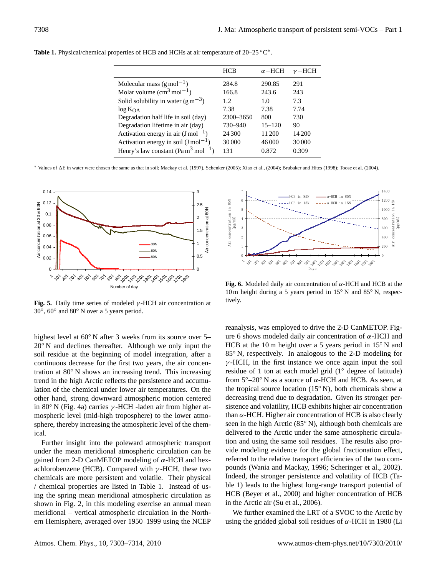|                                                             | <b>HCB</b> | $\alpha$ -HCH | $\nu$ -HCH |
|-------------------------------------------------------------|------------|---------------|------------|
| Molecular mass $(g \text{ mol}^{-1})$                       | 284.8      | 290.85        | 291        |
| Molar volume $\text{cm}^3 \text{ mol}^{-1}$ )               | 166.8      | 243.6         | 243        |
| Solid solubility in water $(g m^{-3})$                      | 1.2        | 1.0           | 7.3        |
| $log K_{OA}$                                                | 7.38       | 7.38          | 7.74       |
| Degradation half life in soil (day)                         | 2300-3650  | 800           | 730        |
| Degradation lifetime in air (day)                           | 730-940    | $15 - 120$    | 90         |
| Activation energy in air $(J \text{ mol}^{-1})$             | 24 300     | 11200         | 14 200     |
| Activation energy in soil $(J \text{ mol}^{-1})$            | 30 000     | 46000         | 30 000     |
| Henry's law constant (Pa m <sup>3</sup> mol <sup>-1</sup> ) | 131        | 0.872         | 0.309      |
|                                                             |            |               |            |

Table 1. Physical/chemical properties of HCB and HCHs at air temperature of 20–25 °C<sup>\*</sup>.

\* Values of AE in water were chosen the same as that in soil; Mackay et al. (1997), Schenker (2005); Xiao et al., (2004); Brubaker and Hites (1998); Toose et al. (2004).



30°, 60° and 80° N over a 5 years period. **Fig. 5.** Daily time series of modeled γ -HCH air concentration at

lation of the chemical under lower air temperatures. On the tration at 80° N shows an increasing trend. This increasing continuous decrease for the first two years, the air concensoil residue at the beginning of model integration, after a  $20°$  N and declines thereafter. Although we only input the soil residue at the beginning of model integration after a highest level at 60° N after 3 weeks from its source over 5– 101 201 301 401 501 601 701 801 901 1001 1101 1201 1301 1401 1501 1601 1701 1801 Days other hand, strong downward atmospheric motion centered  $h_2$ s c $t_1$ m so  $\frac{1}{2}$  (Fig. 4a) carries  $\frac{1}{2}$  HCT hadch an Hom inglier at size mospheric level (mid-high troposphere) to the lower atmotrend in the high Arctic reflects the persistence and accumuin 80 $\degree$  N (Fig. 4a) carries  $\gamma$ -HCH -laden air from higher atsphere, thereby increasing the atmospheric level of the chemical.

Further insight into the poleward atmospheric transport under the mean meridional atmospheric circulation can be gained from 2-D CanMETOP modeling of  $\alpha$ -HCH and hexachlorobenzene (HCB). Compared with  $\gamma$ -HCH, these two chemicals are more persistent and volatile. Their physical / chemical properties are listed in Table 1. Instead of using the spring mean meridional atmospheric circulation as shown in Fig. 2, in this modeling exercise an annual mean meridional – vertical atmospheric circulation in the Northern Hemisphere, averaged over 1950–1999 using the NCEP



**Fig. 6.** Modeled daily air concentration of  $\alpha$ -HCH and HCB at the 10 m height during a 5 years period in 15◦ N and 85◦ N, respectively.

in the Arctic air (Su et al., 2006). HCB at the 10 m height over a 5 years period in  $15°$  N and  $85°$  N, respectively. In analogous to the 2-D modeling for 85<sup>°</sup> N, respectively. In analogous to the 2-D modeling for reanalysis, was employed to drive the 2-D CanMETOP. Figure 6 shows modeled daily air concentration of  $α$ -HCH and  $\gamma$ -HCH, in the first instance we once again input the soil residue of 1 ton at each model grid (1◦ degree of latitude) from  $5^{\circ}$ –20 $^{\circ}$  N as a source of  $\alpha$ -HCH and HCB. As seen, at the tropical source location  $(15°\text{ N})$ , both chemicals show a decreasing trend due to degradation. Given its stronger persistence and volatility, HCB exhibits higher air concentration than  $α$ -HCH. Higher air concentration of HCB is also clearly seen in the high Arctic (85◦ N), although both chemicals are delivered to the Arctic under the same atmospheric circulation and using the same soil residues. The results also provide modeling evidence for the global fractionation effect, referred to the relative transport efficiencies of the two compounds (Wania and Mackay, 1996; Scheringer et al., 2002). Indeed, the stronger persistence and volatility of HCB (Table 1) leads to the highest long-range transport potential of HCB (Beyer et al., 2000) and higher concentration of HCB

We further examined the LRT of a SVOC to the Arctic by using the gridded global soil residues of  $\alpha$ -HCH in 1980 (Li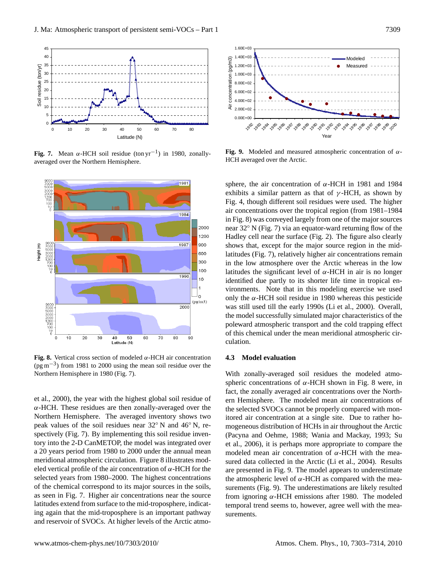

Fig. 7. Mean  $\alpha$ -HCH soil residue (ton yr<sup>-1</sup>) in 1980, zonallyaveraged over the Northern Hemisphere. Latitude (N)



Fig. 8 Northern Hemisphere in 1980 (Fig. 7). **Fig. 8.** Vertical cross section of modeled  $\alpha$ -HCH air concentration (pg m−<sup>3</sup> ) from 1981 to 2000 using the mean soil residue over the

et al., 2000), the year with the highest global soil residue of  $\alpha$ -HCH. These residues are then zonally-averaged over the Northern Hemisphere. The averaged inventory shows two peak values of the soil residues near 32◦ N and 46◦ N, respectively (Fig. 7). By implementing this soil residue inventory into the 2-D CanMETOP, the model was integrated over a 20 years period from 1980 to 2000 under the annual mean meridional atmospheric circulation. Figure 8 illustrates modeled vertical profile of the air concentration of  $\alpha$ -HCH for the selected years from 1980–2000. The highest concentrations of the chemical correspond to its major sources in the soils, as seen in Fig. 7. Higher air concentrations near the source latitudes extend from surface to the mid-troposphere, indicating again that the mid-troposphere is an important pathway and reservoir of SVOCs. At higher levels of the Arctic atmo-



Fig. 9. Modeled and measured atmospheric concentration of  $\alpha$ -HCH averaged over the Arctic.

latitudes (Fig. 7), relatively higher air concentrations remain Hadley cell near the surface (Fig. 2). The figure also clearly near  $32°$  N (Fig. 7) via an equator-ward returning flow of the air concentrations over the tropical region (from 1981–1984<br>in Fig. 8) was conveyed largely from one of the major sources exhibits a similar pattern as that of  $\gamma$ -HCH, as shown by in the low atmosphere over the Arctic whereas in the low latitudes the significant level of  $\alpha$ -HCH in air is no longer a-HCH shows that, except for the major source region in the mid- $\frac{1}{2}$ of this chemical under the mean meridional atmospheric cirthe model successfully simulated major characteristics of the only the  $\alpha$ -HCH soil residue in 1980 whereas this pesticide identified due partly to its shorter life time in tropical enwa<br>he<br>of<br>cu sphere, the air concentration of  $α$ -HCH in 1981 and 1984 Fig. 4, though different soil residues were used. The higher in Fig. 8) was conveyed largely from one of the major sources vironments. Note that in this modeling exercise we used was still used till the early 1990s (Li et al., 2000). Overall, poleward atmospheric transport and the cold trapping effect culation.

#### i<br>D **4.3 Model evaluation**

mogeneous distribution of HCHs in air throughout the Arctic ern Hemisphere. The modeled mean air concentrations of With zonally-averaged soil residues the modeled atmospheric concentrations of  $\alpha$ -HCH shown in Fig. 8 were, in fact, the zonally averaged air concentrations over the Norththe selected SVOCs cannot be properly compared with monitored air concentration at a single site. Due to rather ho-(Pacyna and Oehme, 1988; Wania and Mackay, 1993; Su et al., 2006), it is perhaps more appropriate to compare the modeled mean air concentration of  $\alpha$ -HCH with the measured data collected in the Arctic (Li et al., 2004). Results are presented in Fig. 9. The model appears to underestimate the atmospheric level of  $\alpha$ -HCH as compared with the measurements (Fig. 9). The underestimations are likely resulted from ignoring  $\alpha$ -HCH emissions after 1980. The modeled temporal trend seems to, however, agree well with the measurements.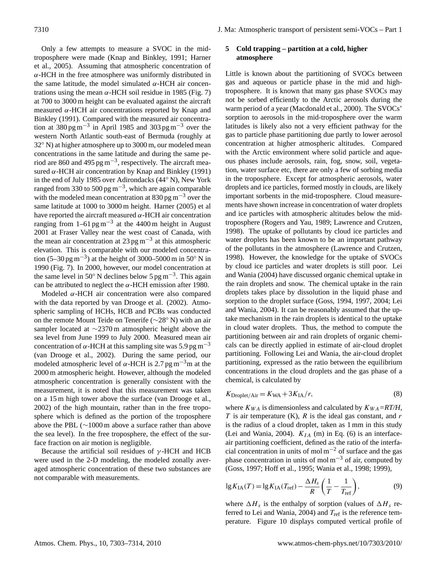Only a few attempts to measure a SVOC in the midtroposphere were made (Knap and Binkley, 1991; Harner et al., 2005). Assuming that atmospheric concentration of  $\alpha$ -HCH in the free atmosphere was uniformly distributed in the same latitude, the model simulated  $\alpha$ -HCH air concentrations using the mean  $\alpha$ -HCH soil residue in 1985 (Fig. 7) at 700 to 3000 m height can be evaluated against the aircraft measured  $\alpha$ -HCH air concentrations reported by Knap and Binkley (1991). Compared with the measured air concentration at 380 pg m<sup>-3</sup> in April 1985 and 303 pg m<sup>-3</sup> over the western North Atlantic south-east of Bermuda (roughly at 32◦ N) at higher atmosphere up to 3000 m, our modeled mean concentrations in the same latitude and during the same period are 860 and 495 pg m<sup>-3</sup>, respectively. The aircraft measured  $\alpha$ -HCH air concentration by Knap and Binkley (1991) in the end of July 1985 over Adirondacks (44◦ N), New York ranged from 330 to 500 pg m<sup>-3</sup>, which are again comparable with the modeled mean concentration at  $830 \text{ pg m}^{-3}$  over the same latitude at 1000 to 3000 m height. Harner (2005) et al have reported the aircraft measured  $\alpha$ -HCH air concentration ranging from  $1-61$  pg m<sup>-3</sup> at the 4400 m height in August 2001 at Fraser Valley near the west coast of Canada, with the mean air concentration at 23 pg m<sup>-3</sup> at this atmospheric elevation. This is comparable with our modeled concentration (5–30 pg m<sup>-3</sup>) at the height of 3000–5000 m in 50° N in 1990 (Fig. 7). In 2000, however, our model concentration at the same level in 50 $\degree$  N declines below 5 pg m<sup>-3</sup>. This again can be attributed to neglect the  $\alpha$ -HCH emission after 1980.

Modeled  $\alpha$ -HCH air concentration were also compared with the data reported by van Drooge et al. (2002). Atmospheric sampling of HCHs, HCB and PCBs was conducted on the remote Mount Teide on Tenerife (∼28◦ N) with an air sampler located at ∼2370 m atmospheric height above the sea level from June 1999 to July 2000. Measured mean air concentration of  $\alpha$ -HCH at this sampling site was 5.9 pg m<sup>-3</sup> (van Drooge et al., 2002). During the same period, our modeled atmospheric level of  $\alpha$ -HCH is 2.7 pg m<sup>-3</sup>m at the 2000 m atmospheric height. However, although the modeled atmospheric concentration is generally consistent with the measurement, it is noted that this measurement was taken on a 15 m high tower above the surface (van Drooge et al., 2002) of the high mountain, rather than in the free troposphere which is defined as the portion of the troposphere above the PBL (∼1000 m above a surface rather than above the sea level). In the free troposphere, the effect of the surface fraction on air motion is negligible.

Because the artificial soil residues of  $\gamma$ -HCH and HCB were used in the 2-D modeling, the modeled zonally averaged atmospheric concentration of these two substances are not comparable with measurements.

## **5 Cold trapping – partition at a cold, higher atmosphere**

Little is known about the partitioning of SVOCs between gas and aqueous or particle phase in the mid and hightroposphere. It is known that many gas phase SVOCs may not be sorbed efficiently to the Arctic aerosols during the warm period of a year (Macdonald et al., 2000). The SVOCs' sorption to aerosols in the mid-troposphere over the warm latitudes is likely also not a very efficient pathway for the gas to particle phase partitioning due partly to lower aerosol concentration at higher atmospheric altitudes. Compared with the Arctic environment where solid particle and aqueous phases include aerosols, rain, fog, snow, soil, vegetation, water surface etc, there are only a few of sorbing media in the troposphere. Except for atmospheric aerosols, water droplets and ice particles, formed mostly in clouds, are likely important sorbents in the mid-troposphere. Cloud measurements have shown increase in concentration of water droplets and ice particles with atmospheric altitudes below the midtroposphere (Rogers and Yau, 1989; Lawrence and Crutzen, 1998). The uptake of pollutants by cloud ice particles and water droplets has been known to be an important pathway of the pollutants in the atmosphere (Lawrence and Crutzen, 1998). However, the knowledge for the uptake of SVOCs by cloud ice particles and water droplets is still poor. Lei and Wania (2004) have discussed organic chemical uptake in the rain droplets and snow. The chemical uptake in the rain droplets takes place by dissolution in the liquid phase and sorption to the droplet surface (Goss, 1994, 1997, 2004; Lei and Wania, 2004). It can be reasonably assumed that the uptake mechanism in the rain droplets is identical to the uptake in cloud water droplets. Thus, the method to compute the partitioning between air and rain droplets of organic chemicals can be directly applied in estimate of air-cloud droplet partitioning. Following Lei and Wania, the air-cloud droplet partitioning, expressed as the ratio between the equilibrium concentrations in the cloud droplets and the gas phase of a chemical, is calculated by

$$
K_{\text{Droplet/Air}} = K_{\text{WA}} + 3K_{\text{IA}}/r,\tag{8}
$$

where  $K_{WA}$  is dimensionless and calculated by  $K_{WA} = RT/H$ , T is air temperature  $(K)$ , R is the ideal gas constant, and r is the radius of a cloud droplet, taken as 1 mm in this study (Lei and Wania, 2004).  $K_{IA}$  (m) in Eq. (6) is an interfaceair partitioning coefficient, defined as the ratio of the interfacial concentration in units of mol  $m^{-2}$  of surface and the gas phase concentration in units of mol  $m^{-3}$  of air, computed by (Goss, 1997; Hoff et al., 1995; Wania et al., 1998; 1999),

$$
\lg K_{\text{IA}}(T) = \lg K_{\text{IA}}(T_{\text{ref}}) - \frac{\Delta H_s}{R} \left( \frac{1}{T} - \frac{1}{T_{\text{ref}}} \right),\tag{9}
$$

where  $\Delta H_s$  is the enthalpy of sorption (values of  $\Delta H_s$  referred to Lei and Wania, 2004) and  $T_{ref}$  is the reference temperature. Figure 10 displays computed vertical profile of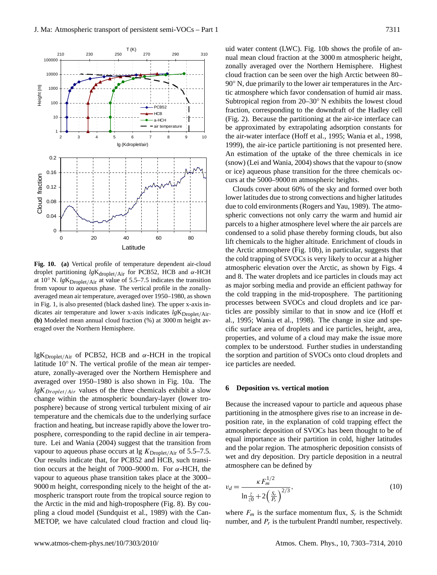

**Fig. 10. (a)** Vertical profile of temperature dependent air-cloud droplet partitioning *lg*K<sub>droplet/Air</sub> for PCB52, HCB and α-HCH at  $10°$  N. *lg*K<sub>Droplet/Air</sub> at value of 5.5–7.5 indicates the transition from vapour to aqueous phase. The vertical profile in the zonallyaveraged mean air temperature, averaged over 1950–1980, as shown in Fig. 1, is also presented (black dashed line). The upper x-axis indicates air temperature and lower x-axis indicates  $lgK_{\text{Droplet/Air}}$ . **(b)** Modeled mean annual cloud fraction (%) at 3000 m height averaged over the Northern Hemisphere.

lgK<sub>Droplet/Air</sub> of PCB52, HCB and  $\alpha$ -HCH in the tropical latitude 10◦ N. The vertical profile of the mean air temperature, zonally-averaged over the Northern Hemisphere and averaged over 1950–1980 is also shown in Fig. 10a. The  $lgK_{Droplet/Air}$  values of the three chemicals exhibit a slow change within the atmospheric boundary-layer (lower troposphere) because of strong vertical turbulent mixing of air temperature and the chemicals due to the underlying surface fraction and heating, but increase rapidly above the lower troposphere, corresponding to the rapid decline in air temperature. Lei and Wania (2004) suggest that the transition from vapour to aqueous phase occurs at lg  $K_{\text{Dronlet/Air}}$  of 5.5–7.5. Our results indicate that, for PCB52 and HCB, such transition occurs at the height of 7000–9000 m. For  $\alpha$ -HCH, the vapour to aqueous phase transition takes place at the 3000– 9000 m height, corresponding nicely to the height of the atmospheric transport route from the tropical source region to the Arctic in the mid and high-troposphere (Fig. 8). By coupling a cloud model (Sundquist et al., 1989) with the Can-METOP, we have calculated cloud fraction and cloud liquid water content (LWC). Fig. 10b shows the profile of annual mean cloud fraction at the 3000 m atmospheric height, zonally averaged over the Northern Hemisphere. Highest cloud fraction can be seen over the high Arctic between 80– 90<sup>°</sup> N, due primarily to the lower air temperatures in the Arctic atmosphere which favor condensation of humid air mass. Subtropical region from 20–30◦ N exhibits the lowest cloud fraction, corresponding to the downdraft of the Hadley cell (Fig. 2). Because the partitioning at the air-ice interface can be approximated by extrapolating adsorption constants for the air-water interface (Hoff et al., 1995; Wania et al., 1998, 1999), the air-ice particle partitioning is not presented here. An estimation of the uptake of the three chemicals in ice (snow) (Lei and Wania, 2004) shows that the vapour to (snow or ice) aqueous phase transition for the three chemicals occurs at the 5000–9000 m atmospheric heights.

the cold trapping in the mid-troposphere. The partitioning Clouds cover about 60% of the sky and formed over both lower latitudes due to strong convections and higher latitudes due to cold environments (Rogers and Yau, 1989). The atmospheric convections not only carry the warm and humid air parcels to a higher atmosphere level where the air parcels are condensed to a solid phase thereby forming clouds, but also lift chemicals to the higher altitude. Enrichment of clouds in the Arctic atmosphere (Fig. 10b), in particular, suggests that the cold trapping of SVOCs is very likely to occur at a higher atmospheric elevation over the Arctic, as shown by Figs. 4 and 8. The water droplets and ice particles in clouds may act as major sorbing media and provide an efficient pathway for processes between SVOCs and cloud droplets and ice particles are possibly similar to that in snow and ice (Hoff et al., 1995; Wania et al., 1998). The change in size and specific surface area of droplets and ice particles, height, area, properties, and volume of a cloud may make the issue more complex to be understood. Further studies in understanding the sorption and partition of SVOCs onto cloud droplets and ice particles are needed.

#### **6 Deposition vs. vertical motion**

Because the increased vapour to particle and aqueous phase partitioning in the atmosphere gives rise to an increase in deposition rate, in the explanation of cold trapping effect the atmospheric deposition of SVOCs has been thought to be of equal importance as their partition in cold, higher latitudes and the polar region. The atmospheric deposition consists of wet and dry deposition. Dry particle deposition in a neutral atmosphere can be defined by

$$
v_d = \frac{\kappa F_m^{1/2}}{\ln \frac{z}{z0} + 2\left(\frac{S_r}{P_r}\right)^{2/3}},\tag{10}
$$

where  $F_m$  is the surface momentum flux,  $S_r$  is the Schmidt number, and  $P_r$  is the turbulent Prandtl number, respectively.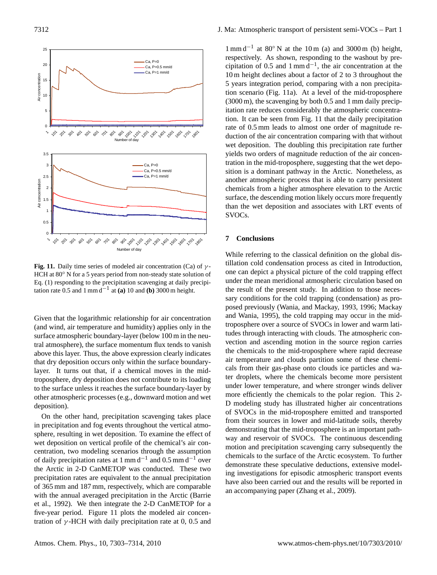

**Fig. 11.** Daily time series of modeled air concentration (Ca) of  $\gamma$ -HCH at 80 $\textdegree$  N for a 5 years period from non-steady state solution of Eq. (1) responding to the precipitation scavenging at daily precipitation rate  $0.5$  and  $1 \text{ mm d}^{-1}$  at **(a)** 10 and **(b)** 3000 m height.

Given that the logarithmic relationship for air concentration (and wind, air temperature and humidity) applies only in the surface atmospheric boundary-layer (below 100 m in the neutral atmosphere), the surface momentum flux tends to vanish above this layer. Thus, the above expression clearly indicates that dry deposition occurs only within the surface boundarylayer. It turns out that, if a chemical moves in the midtroposphere, dry deposition does not contribute to its loading to the surface unless it reaches the surface boundary-layer by other atmospheric processes (e.g., downward motion and wet deposition).

On the other hand, precipitation scavenging takes place in precipitation and fog events throughout the vertical atmosphere, resulting in wet deposition. To examine the effect of wet deposition on vertical profile of the chemical's air concentration, two modeling scenarios through the assumption of daily precipitation rates at 1 mm d<sup>-1</sup> and 0.5 mm d<sup>-1</sup> over the Arctic in 2-D CanMETOP was conducted. These two precipitation rates are equivalent to the annual precipitation of 365 mm and 187 mm, respectively, which are comparable with the annual averaged precipitation in the Arctic (Barrie et al., 1992). We then integrate the 2-D CanMETOP for a five-year period. Figure 11 plots the modeled air concentration of  $\gamma$ -HCH with daily precipitation rate at 0, 0.5 and

 $1 \text{ mm d}^{-1}$  at 80° N at the 10 m (a) and 3000 m (b) height, respectively. As shown, responding to the washout by precipitation of 0.5 and  $1 \text{ mm d}^{-1}$ , the air concentration at the 10 m height declines about a factor of 2 to 3 throughout the 5 years integration period, comparing with a non precipitation scenario (Fig. 11a). At a level of the mid-troposphere (3000 m), the scavenging by both 0.5 and 1 mm daily precipitation rate reduces considerably the atmospheric concentration. It can be seen from Fig. 11 that the daily precipitation rate of 0.5 mm leads to almost one order of magnitude reduction of the air concentration comparing with that without wet deposition. The doubling this precipitation rate further yields two orders of magnitude reduction of the air concentration in the mid-troposphere, suggesting that the wet deposition is a dominant pathway in the Arctic. Nonetheless, as another atmospheric process that is able to carry persistent chemicals from a higher atmosphere elevation to the Arctic surface, the descending motion likely occurs more frequently than the wet deposition and associates with LRT events of SVOCs.

## **7 Conclusions**

40 chemicals to the surface of the Arctic ecosystem. To further While referring to the classical definition on the global distillation cold condensation process as cited in Introduction, one can depict a physical picture of the cold trapping effect under the mean meridional atmospheric circulation based on the result of the present study. In addition to those necessary conditions for the cold trapping (condensation) as proposed previously (Wania, and Mackay, 1993, 1996; Mackay and Wania, 1995), the cold trapping may occur in the midtroposphere over a source of SVOCs in lower and warm latitudes through interacting with clouds. The atmospheric convection and ascending motion in the source region carries the chemicals to the mid-troposphere where rapid decrease air temperature and clouds partition some of these chemicals from their gas-phase onto clouds ice particles and water droplets, where the chemicals become more persistent under lower temperature, and where stronger winds deliver more efficiently the chemicals to the polar region. This 2- D modeling study has illustrated higher air concentrations of SVOCs in the mid-troposphere emitted and transported from their sources in lower and mid-latitude soils, thereby demonstrating that the mid-troposphere is an important pathway and reservoir of SVOCs. The continuous descending motion and precipitation scavenging carry subsequently the demonstrate these speculative deductions, extensive modeling investigations for episodic atmospheric transport events have also been carried out and the results will be reported in an accompanying paper (Zhang et al., 2009).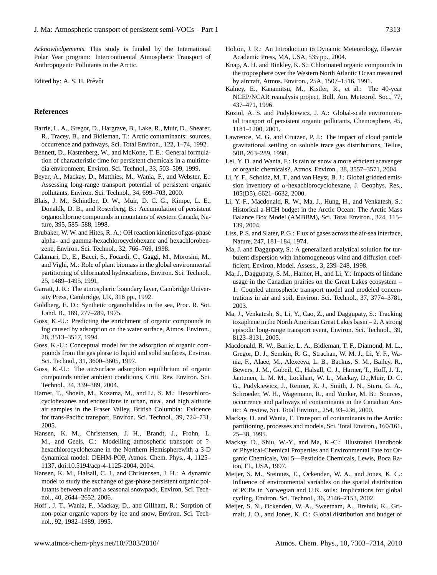*Acknowledgements.* This study is funded by the International Polar Year program: Intercontinental Atmospheric Transport of Anthropogenic Pollutants to the Arctic.

Edited by: A. S. H. Prévôt

## **References**

- Barrie, L. A., Gregor, D., Hargrave, B., Lake, R., Muir, D., Shearer, R., Tracey, B., and Bidleman, T.: Arctic contaminants: sources, occurrence and pathways, Sci. Total Environ., 122, 1–74, 1992.
- Bennett, D., Kastenberg, W., and McKone, T. E.: General formulation of characteristic time for persistent chemicals in a multimedia environment, Environ. Sci. Technol., 33, 503–509, 1999.
- Beyer, A., Mackay, D., Matthies, M., Wania, F., and Webster, E.: Assessing long-range transport potential of persistent organic pollutants, Environ. Sci. Technol., 34, 699–703, 2000.
- Blais, J. M., Schindler, D. W., Muir, D. C. G., Kimpe, L. E., Donaldk, D. B., and Rosenberg, B.: Accumulation of persistent organochlorine compounds in mountains of western Canada, Nature, 395, 585–588, 1998.
- Brubaker, W. W. and Hites, R. A.: OH reaction kinetics of gas-phase alpha- and gamma-hexachlorocyclohexane and hexachlorobenzene, Environ. Sci. Technol., 32, 766–769, 1998.
- Calamari, D., E., Bacci, S., Focardi, C., Gaggi, M., Morosini, M., and Vighi, M.: Role of plant biomass in the global environmental partitioning of chlorinated hydrocarbons, Environ. Sci. Technol., 25, 1489–1495, 1991.
- Garratt, J. R.: The atmospheric boundary layer, Cambridge University Press, Cambridge, UK, 316 pp., 1992.
- Goldberg, E. D.: Synthetic organohalides in the sea, Proc. R. Sot. Land. B., 189, 277–289, 1975.
- Goss, K.-U.: Predicting the enrichment of organic compounds in fog caused by adsorption on the water surface, Atmos. Environ., 28, 3513–3517, 1994.
- Goss, K.-U.: Conceptual model for the adsorption of organic compounds from the gas phase to liquid and solid surfaces, Environ. Sci. Technol., 31, 3600–3605, 1997.
- Goss, K.-U.: The air/surface adsorption equilibrium of organic compounds under ambient conditions, Criti. Rev. Environ. Sci. Technol., 34, 339–389, 2004.
- Harner, T., Shoeib, M., Kozama, M., and Li, S. M.: Hexachlorocyclohexanes and endosulfans in urban, rural, and high altitude air samples in the Fraser Valley, British Columbia: Evidence for trans-Pacific transport, Environ. Sci. Technol., 39, 724–731, 2005.
- Hansen, K. M., Christensen, J. H., Brandt, J., Frohn, L. M., and Geels, C.: Modelling atmospheric transport of ? hexachlorocyclohexane in the Northern Hemispherewith a 3-D dynamical model: DEHM-POP, Atmos. Chem. Phys., 4, 1125– 1137, doi:10.5194/acp-4-1125-2004, 2004.
- Hansen, K. M., Halsall, C. J., and Christensen, J. H.: A dynamic model to study the exchange of gas-phase persistent organic pollutants between air and a seasonal snowpack, Environ, Sci. Technol., 40, 2644–2652, 2006.
- Hoff , J. T., Wania, F., Mackay, D., and Gillham, R.: Sorption of non-polar organic vapors by ice and snow, Environ. Sci. Technol., 92, 1982–1989, 1995.
- Holton, J. R.: An Introduction to Dynamic Meteorology, Elsevier Academic Press, MA, USA, 535 pp., 2004.
- Knap, A. H. and Binkley, K. S.: Chlorinated organic compounds in the troposphere over the Western North Atlantic Ocean measured by aircraft, Atmos. Environ., 25A, 1507–1516, 1991.
- Kalney, E., Kanamitsu, M., Kistler, R., et al.: The 40-year NCEP/NCAR reanalysis project, Bull. Am. Meteorol. Soc., 77, 437–471, 1996.
- Koziol, A. S. and Pudykiewicz, J. A.: Global-scale environmental transport of persistent organic pollutants, Chemosphere, 45, 1181–1200, 2001.
- Lawrence, M. G. and Crutzen, P. J.: The impact of cloud particle gravitational settling on soluble trace gas distributions, Tellus, 50B, 263–289, 1998.
- Lei, Y. D. and Wania, F.: Is rain or snow a more efficient scavenger of organic chemicals?, Atmos. Environ., 38, 3557–3571, 2004.
- Li, Y. F., Scholdz, M. T., and van Heyst, B. J.: Global gridded emission inventory of  $\alpha$ -hexachlorocyclohexane, J. Geophys. Res., 105(D5), 6621–6632, 2000.
- Li, Y.-F., Macdonald, R. W., Ma, J., Hung, H., and Venkatesh, S.: Historical a-HCH budget in the Arctic Ocean: The Arctic Mass Balance Box Model (AMBBM)**,** Sci. Total Environ., 324, 115– 139, 2004.
- Liss, P. S. and Slater, P. G.: Flux of gases across the air-sea interface, Nature, 247, 181–184, 1974.
- Ma, J. and Daggupaty, S.: A generalized analytical solution for turbulent dispersion with inhomogeneous wind and diffusion coefficient, Environ. Model. Assess., 3, 239–248, 1998.
- Ma, J., Daggupaty, S. M., Harner, H., and Li, Y.: Impacts of lindane usage in the Canadian prairies on the Great Lakes ecosystem – 1: Coupled atmospheric transport model and modeled concentrations in air and soil, Environ. Sci. Technol., 37, 3774–3781, 2003.
- Ma, J., Venkatesh, S., Li, Y., Cao, Z., and Daggupaty, S.: Tracking toxaphene in the North American Great Lakes basin – 2. A strong episodic long-range transport event, Environ. Sci. Technol., 39, 8123–8131, 2005.
- Macdonald, R. W., Barrie, L. A., Bidleman, T. F., Diamond, M. L., Gregor, D. J., Semkin, R. G., Strachan, W. M. J., Li, Y. F., Wania, F., Alaee, M., Alexeeva, L. B., Backus, S. M., Bailey, R., Bewers, J. M., Gobeil, C., Halsall, C. J., Harner, T., Hoff, J. T., Jantunen, L. M. M., Lockhart, W. L., Mackay, D.;,Muir, D. C. G., Pudykiewicz, J., Reimer, K. J., Smith, J. N., Stern, G. A., Schroeder, W. H., Wagemann, R., and Yunker, M. B.: Sources, occurrence and pathways of contaminants in the Canadian Arctic: A review, Sci. Total Environ., 254, 93–236, 2000.
- Mackay, D. and Wania, F. Transport of contaminants to the Arctic: partitioning, processes and models, Sci. Total Environ., 160/161, 25–38, 1995.
- Mackay, D., Shiu, W.-Y., and Ma, K.-C.: Illustrated Handbook of Physical-Chemical Properties and Environmental Fate for Organic Chemicals, Vol 5—Pesticide Chemicals, Lewis, Boca Raton, FL, USA, 1997.
- Meijer, S. M., Steinnes, E., Ockenden, W. A., and Jones, K. C.: Influence of environmental variables on the spatial distribution of PCBs in Norwegian and U.K. soils: Implications for global cycling, Environ. Sci. Technol., 36, 2146–2153, 2002.
- Meijer, S. N., Ockenden, W. A., Sweetnam, A., Breivik, K., Grimalt, J. O., and Jones, K. C.: Global distribution and budget of